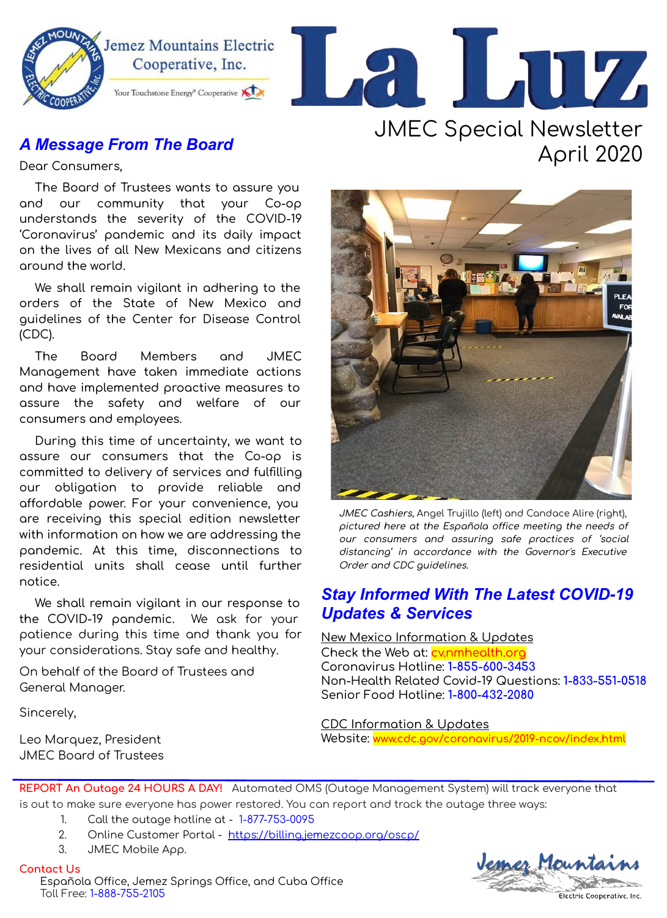

### **A Message From The Board**

Dear Consumers,

The Board of Trustees wants to assure you and our community that your Co-op understands the severity of the COVID-19 'Coronavirus' pandemic and its daily impact on the lives of all New Mexicans and citizens around the world.

We shall remain vigilant in adhering to the orders of the State of New Mexico and guidelines of the Center for Disease Control  $(CDC)$ .

The Board Members and **JMEC** Management have taken immediate actions and have implemented proactive measures to assure the safety and welfare of our consumers and employees.

During this time of uncertainty, we want to assure our consumers that the Co-op is committed to delivery of services and fulfilling our obligation to provide reliable and affordable power. For your convenience, you are receiving this special edition newsletter with information on how we are addressing the pandemic. At this time, disconnections to residential units shall cease until further notice.

We shall remain vigilant in our response to the COVID-19 pandemic. We ask for your patience during this time and thank you for your considerations. Stay safe and healthy.

On behalf of the Board of Trustees and General Manager.

Sincerely,

Leo Marquez, President **JMFC Board of Trustees** 

# **JMEC Special Newsletter** April 2020



JMEC Cashiers, Angel Trujillo (left) and Candace Alire (right), pictured here at the Española office meeting the needs of our consumers and assuring safe practices of 'social distancing' in accordance with the Governor's Executive Order and CDC guidelines.

### **Stay Informed With The Latest COVID-19 Updates & Services**

New Mexico Information & Updates

Check the Web at: cynmhealth.org Coronavirus Hotline: 1-855-600-3453 Non-Health Related Covid-19 Questions: 1-833-551-0518 Senior Food Hotline: 1-800-432-2080

**CDC** Information & Updates Website: www.cdc.gov/coronavirus/2019-ncov/index.html

REPORT An Outage 24 HOURS A DAY! Automated OMS (Outage Management System) will track everyone that is out to make sure everyone has power restored. You can report and track the outage three ways:

- $\mathbf{1}$ Call the outage hotline at - 1-877-753-0095
- $2.$ Online Customer Portal - https://billing.jemezcoop.org/oscp/
- 3. JMEC Mobile App.

**Contact Us** Española Office, Jemez Springs Office, and Cuba Office Toll Free: 1-888-755-2105